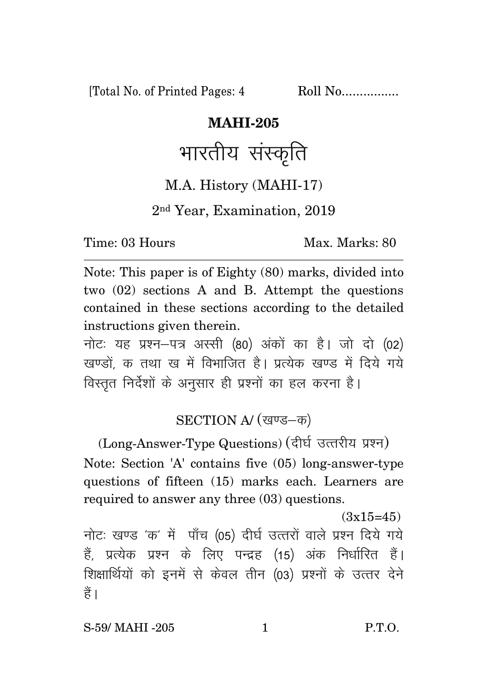[Total No. of Printed Pages: 4 Roll No.................

#### **MAHI-205**

# भारतीय संस्कृति

#### M.A. History (MAHI-17)

#### 2nd Year, Examination, 2019

Time: 03 Hours Max. Marks: 80

Note: This paper is of Eighty (80) marks, divided into two (02) sections A and B. Attempt the questions contained in these sections according to the detailed instructions given therein.

नोट: यह प्रश्न-पत्र अस्सी (80) अंकों का है। जो दो (02) खण्डों क तथा ख में विभाजित है। प्रत्येक खण्ड में दिये गये विस्तृत निर्देशों के अनुसार ही प्रश्नों का हल करना है।

### SECTION A/ (खण्ड-क)

(Long-Answer-Type Questions) (दीर्घ उत्तरीय प्रश्न) Note: Section 'A' contains five (05) long-answer-type questions of fifteen (15) marks each. Learners are required to answer any three (03) questions.

 $(3x15=45)$ 

नोटः खण्ड 'क' में पाँच (05) दीर्घ उत्तरों वाले प्रश्न दिये गये हैं, प्रत्येक प्रश्न के लिए पन्द्रह (15) अंक निर्धारित हैं। शिक्षार्थियों को इनमें से केवल तीन (03) प्रश्नों के उत्तर देने हैं ।

S-59/ MAHI -205 1 P.T.O.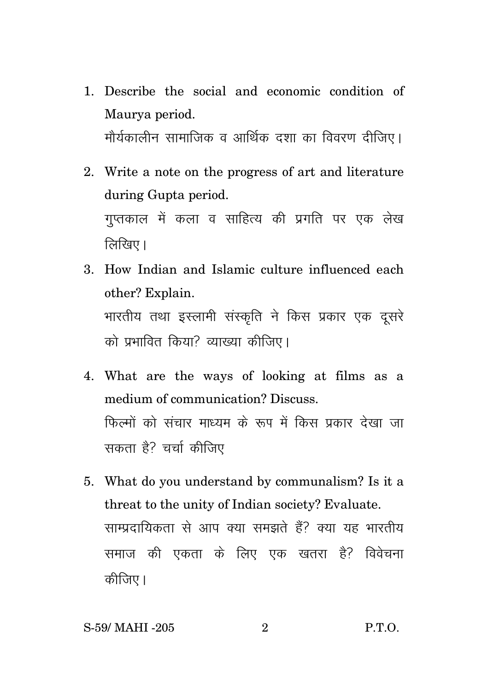- 1. Describe the social and economic condition of Maurya period. मौर्यकालीन सामाजिक व आर्थिक दशा का विवरण दीजिए।
- 2. Write a note on the progress of art and literature during Gupta period. गुप्तकाल में कला व साहित्य की प्रगति पर एक लेख  $\widehat{R}$ रिवर् $\overline{R}$ ।
- 3. How Indian and Islamic culture influenced each other? Explain. भारतीय तथा इस्लामी संस्कृति ने किस प्रकार एक दूसरे को प्रभावित किया? व्याख्या कीजिए।
- 4. What are the ways of looking at films as a medium of communication? Discuss. फिल्मों को संचार माध्यम के रूप में किस प्रकार देखा जा सकता है? चर्चा कीजिए
- 5. What do you understand by communalism? Is it a threat to the unity of Indian society? Evaluate. साम्प्रदायिकता से आप क्या समझते हैं? क्या यह भारतीय समाज की एकता के लिए एक खतरा है? विवेचना कीजिए।

#### S-59/ MAHI -205 2 P.T.O.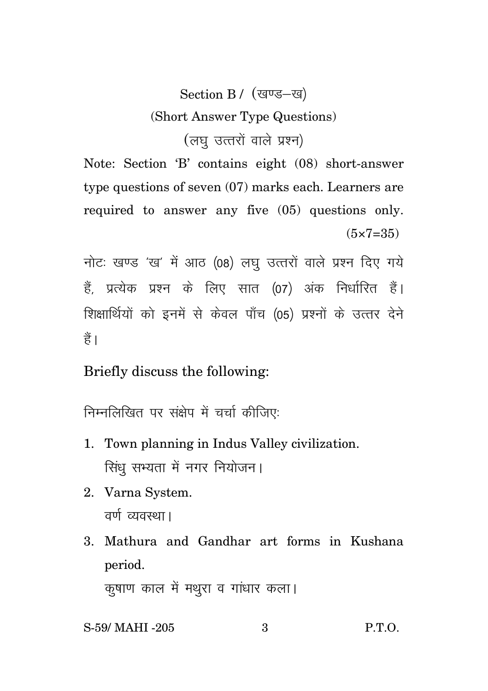## Section B / (खण्ड-ख) (Short Answer Type Questions) (लघु उत्तरों वाले प्रश्न)

Note: Section 'B' contains eight (08) short-answer type questions of seven (07) marks each. Learners are required to answer any five (05) questions only.  $(5 \times 7 = 35)$ 

नोटः खण्ड 'ख' में आठ (08) लघ उत्तरों वाले प्रश्न दिए गये हैं. प्रत्येक प्रश्न के लिए सात (07) अंक निर्धारित हैं। शिक्षार्थियों को इनमें से केवल पाँच (05) प्रश्नों के उत्तर देने हैं।

Briefly discuss the following:

निम्नलिखित पर संक्षेप में चर्चा कीजिए:

- 1. Town planning in Indus Valley civilization. सिंधु सभ्यता में नगर नियोजन।
- 2. Varna System. वर्ण व्यवस्था।
- 3. Mathura and Gandhar art forms in Kushana period.

कुषाण काल में मथुरा व गांधार कला।